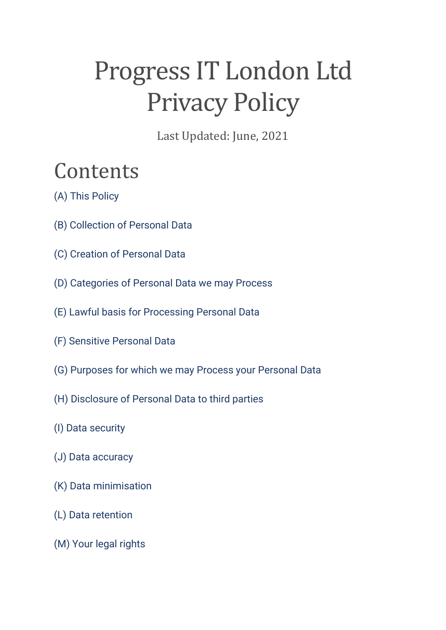# Progress IT London Ltd Privacy Policy

Last Updated: June, 2021

## Contents

- [\(A\) This Policy](https://www.vipre.com/privacy/#A)
- [\(B\) Collection of Personal Data](https://www.vipre.com/privacy/#B)
- [\(C\) Creation of](https://www.vipre.com/privacy/#C) Personal Data
- [\(D\) Categories of Personal Data we may Process](https://www.vipre.com/privacy/#D)
- [\(E\) Lawful basis for Processing Personal Data](https://www.vipre.com/privacy/#E)
- [\(F\) Sensitive Personal Data](https://www.vipre.com/privacy/#F)
- [\(G\) Purposes for which we may Process your Personal Data](https://www.vipre.com/privacy/#G)
- [\(H\) Disclosure of Personal Data to third parties](https://www.vipre.com/privacy/#H)
- [\(I\) Data security](https://www.vipre.com/privacy/#J)
- [\(J\) Data accuracy](https://www.vipre.com/privacy/#K)
- [\(K\) Data minimisation](https://www.vipre.com/privacy/#L)
- [\(L\) Data retention](https://www.vipre.com/privacy/#M)
- [\(M\) Your legal rights](https://www.vipre.com/privacy/#N)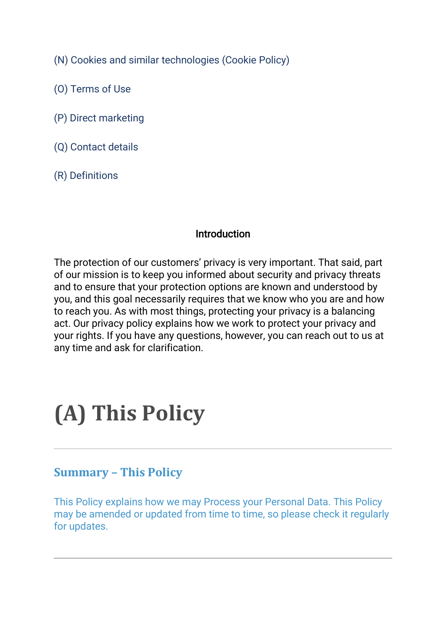[\(N\) Cookies and similar technologies \(Cookie Policy\)](https://www.vipre.com/privacy/#O)

- [\(O\) Terms of Use](https://www.vipre.com/privacy/#P)
- [\(P\) Direct marketing](https://www.vipre.com/privacy/#Q)
- [\(Q\) Contact details](https://www.vipre.com/privacy/#R)
- [\(R\) Definitions](https://www.vipre.com/privacy/#S)

### Introduction

The protection of our customers' privacy is very important. That said, part of our mission is to keep you informed about security and privacy threats and to ensure that your protection options are known and understood by you, and this goal necessarily requires that we know who you are and how to reach you. As with most things, protecting your privacy is a balancing act. Our privacy policy explains how we work to protect your privacy and your rights. If you have any questions, however, you can reach out to us at any time and ask for clarification.

# **(A) This Policy**

### **Summary – This Policy**

This Policy explains how we may Process your Personal Data. This Policy may be amended or updated from time to time, so please check it regularly for updates.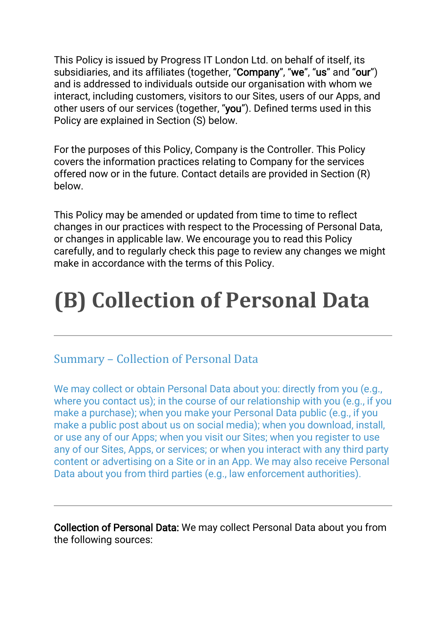This Policy is issued by Progress IT London Ltd. on behalf of itself, its subsidiaries, and its affiliates (together, "Company", "we", "us" and "our") and is addressed to individuals outside our organisation with whom we interact, including customers, visitors to our Sites, users of our Apps, and other users of our services (together, "you"). Defined terms used in this Policy are explained in Section (S) below.

For the purposes of this Policy, Company is the Controller. This Policy covers the information practices relating to Company for the services offered now or in the future. Contact details are provided in Section (R) below.

This Policy may be amended or updated from time to time to reflect changes in our practices with respect to the Processing of Personal Data, or changes in applicable law. We encourage you to read this Policy carefully, and to regularly check this page to review any changes we might make in accordance with the terms of this Policy.

# **(B) Collection of Personal Data**

### Summary – Collection of Personal Data

We may collect or obtain Personal Data about you: directly from you (e.g., where you contact us); in the course of our relationship with you (e.g., if you make a purchase); when you make your Personal Data public (e.g., if you make a public post about us on social media); when you download, install, or use any of our Apps; when you visit our Sites; when you register to use any of our Sites, Apps, or services; or when you interact with any third party content or advertising on a Site or in an App. We may also receive Personal Data about you from third parties (e.g., law enforcement authorities).

Collection of Personal Data: We may collect Personal Data about you from the following sources: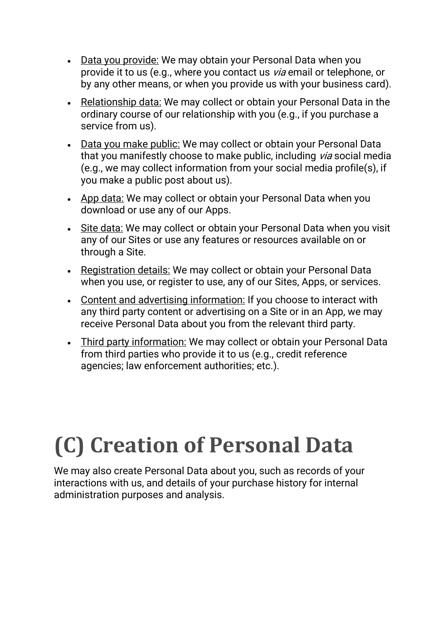- Data you provide: We may obtain your Personal Data when you provide it to us (e.g., where you contact us via email or telephone, or by any other means, or when you provide us with your business card).
- Relationship data: We may collect or obtain your Personal Data in the ordinary course of our relationship with you (e.g., if you purchase a service from us).
- Data you make public: We may collect or obtain your Personal Data that you manifestly choose to make public, including via social media (e.g., we may collect information from your social media profile(s), if you make a public post about us).
- App data: We may collect or obtain your Personal Data when you download or use any of our Apps.
- Site data: We may collect or obtain your Personal Data when you visit any of our Sites or use any features or resources available on or through a Site.
- Registration details: We may collect or obtain your Personal Data when you use, or register to use, any of our Sites, Apps, or services.
- Content and advertising information: If you choose to interact with any third party content or advertising on a Site or in an App, we may receive Personal Data about you from the relevant third party.
- Third party information: We may collect or obtain your Personal Data from third parties who provide it to us (e.g., credit reference agencies; law enforcement authorities; etc.).

# **(C) Creation of Personal Data**

We may also create Personal Data about you, such as records of your interactions with us, and details of your purchase history for internal administration purposes and analysis.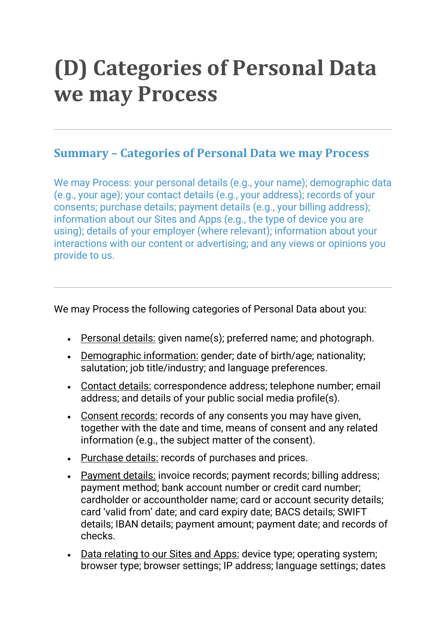## **(D) Categories of Personal Data we may Process**

### **Summary – Categories of Personal Data we may Process**

We may Process: your personal details (e.g., your name); demographic data (e.g., your age); your contact details (e.g., your address); records of your consents; purchase details; payment details (e.g., your billing address); information about our Sites and Apps (e.g., the type of device you are using); details of your employer (where relevant); information about your interactions with our content or advertising; and any views or opinions you provide to us.

We may Process the following categories of Personal Data about you:

- Personal details: given name(s); preferred name; and photograph.
- Demographic information: gender; date of birth/age; nationality; salutation; job title/industry; and language preferences.
- Contact details: correspondence address; telephone number; email address; and details of your public social media profile(s).
- Consent records: records of any consents you may have given, together with the date and time, means of consent and any related information (e.g., the subject matter of the consent).
- Purchase details: records of purchases and prices.
- Payment details: invoice records; payment records; billing address; payment method; bank account number or credit card number; cardholder or accountholder name; card or account security details; card 'valid from' date; and card expiry date; BACS details; SWIFT details; IBAN details; payment amount; payment date; and records of checks.
- Data relating to our Sites and Apps: device type; operating system; browser type; browser settings; IP address; language settings; dates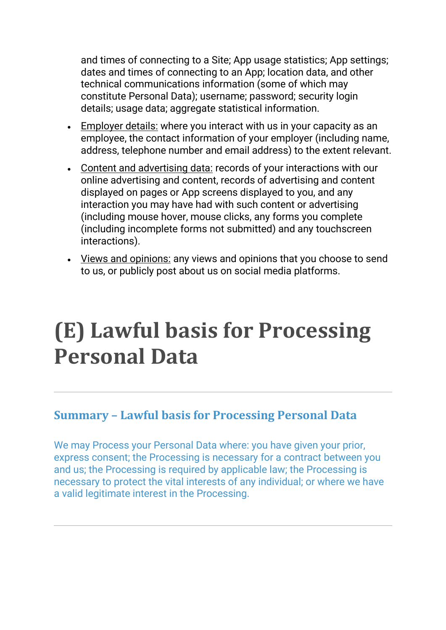and times of connecting to a Site; App usage statistics; App settings; dates and times of connecting to an App; location data, and other technical communications information (some of which may constitute Personal Data); username; password; security login details; usage data; aggregate statistical information.

- Employer details: where you interact with us in your capacity as an employee, the contact information of your employer (including name, address, telephone number and email address) to the extent relevant.
- Content and advertising data: records of your interactions with our online advertising and content, records of advertising and content displayed on pages or App screens displayed to you, and any interaction you may have had with such content or advertising (including mouse hover, mouse clicks, any forms you complete (including incomplete forms not submitted) and any touchscreen interactions).
- Views and opinions: any views and opinions that you choose to send to us, or publicly post about us on social media platforms.

## **(E) Lawful basis for Processing Personal Data**

### **Summary – Lawful basis for Processing Personal Data**

We may Process your Personal Data where: you have given your prior, express consent; the Processing is necessary for a contract between you and us; the Processing is required by applicable law; the Processing is necessary to protect the vital interests of any individual; or where we have a valid legitimate interest in the Processing.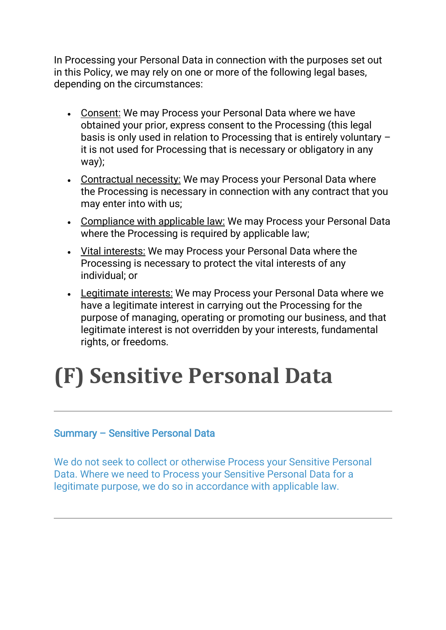In Processing your Personal Data in connection with the purposes set out in this Policy, we may rely on one or more of the following legal bases, depending on the circumstances:

- Consent: We may Process your Personal Data where we have obtained your prior, express consent to the Processing (this legal basis is only used in relation to Processing that is entirely voluntary – it is not used for Processing that is necessary or obligatory in any way);
- Contractual necessity: We may Process your Personal Data where the Processing is necessary in connection with any contract that you may enter into with us;
- Compliance with applicable law: We may Process your Personal Data where the Processing is required by applicable law;
- Vital interests: We may Process your Personal Data where the Processing is necessary to protect the vital interests of any individual; or
- Legitimate interests: We may Process your Personal Data where we have a legitimate interest in carrying out the Processing for the purpose of managing, operating or promoting our business, and that legitimate interest is not overridden by your interests, fundamental rights, or freedoms.

# **(F) Sensitive Personal Data**

#### Summary – Sensitive Personal Data

We do not seek to collect or otherwise Process your Sensitive Personal Data. Where we need to Process your Sensitive Personal Data for a legitimate purpose, we do so in accordance with applicable law.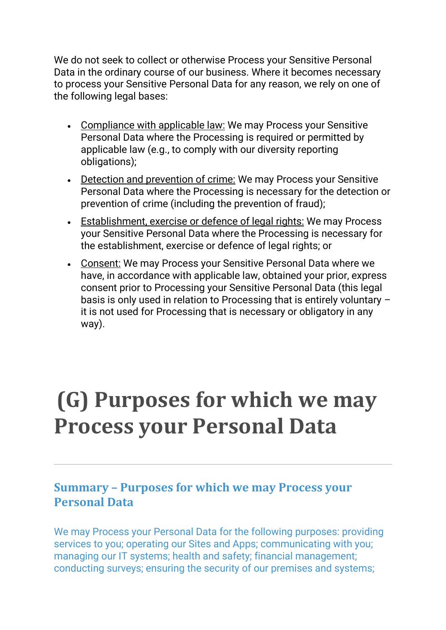We do not seek to collect or otherwise Process your Sensitive Personal Data in the ordinary course of our business. Where it becomes necessary to process your Sensitive Personal Data for any reason, we rely on one of the following legal bases:

- Compliance with applicable law: We may Process your Sensitive Personal Data where the Processing is required or permitted by applicable law (e.g., to comply with our diversity reporting obligations);
- Detection and prevention of crime: We may Process your Sensitive Personal Data where the Processing is necessary for the detection or prevention of crime (including the prevention of fraud);
- Establishment, exercise or defence of legal rights: We may Process your Sensitive Personal Data where the Processing is necessary for the establishment, exercise or defence of legal rights; or
- Consent: We may Process your Sensitive Personal Data where we have, in accordance with applicable law, obtained your prior, express consent prior to Processing your Sensitive Personal Data (this legal basis is only used in relation to Processing that is entirely voluntary – it is not used for Processing that is necessary or obligatory in any way).

## **(G) Purposes for which we may Process your Personal Data**

## **Summary – Purposes for which we may Process your Personal Data**

We may Process your Personal Data for the following purposes: providing services to you; operating our Sites and Apps; communicating with you; managing our IT systems; health and safety; financial management; conducting surveys; ensuring the security of our premises and systems;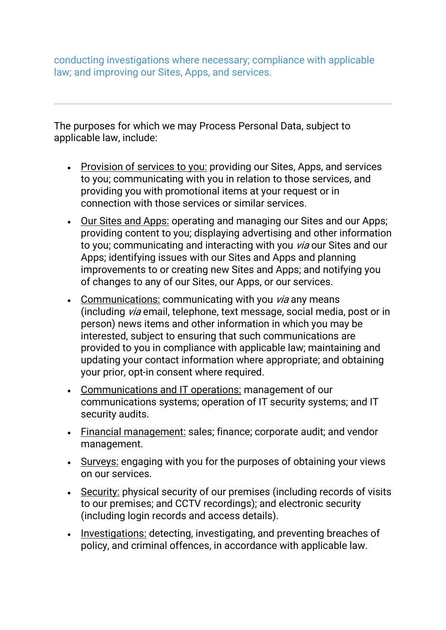conducting investigations where necessary; compliance with applicable law; and improving our Sites, Apps, and services.

The purposes for which we may Process Personal Data, subject to applicable law, include:

- Provision of services to you: providing our Sites, Apps, and services to you; communicating with you in relation to those services, and providing you with promotional items at your request or in connection with those services or similar services.
- Our Sites and Apps: operating and managing our Sites and our Apps; providing content to you; displaying advertising and other information to you; communicating and interacting with you via our Sites and our Apps; identifying issues with our Sites and Apps and planning improvements to or creating new Sites and Apps; and notifying you of changes to any of our Sites, our Apps, or our services.
- Communications: communicating with you  $via$  any means (including via email, telephone, text message, social media, post or in person) news items and other information in which you may be interested, subject to ensuring that such communications are provided to you in compliance with applicable law; maintaining and updating your contact information where appropriate; and obtaining your prior, opt-in consent where required.
- Communications and IT operations: management of our communications systems; operation of IT security systems; and IT security audits.
- Financial management: sales; finance; corporate audit; and vendor management.
- Surveys: engaging with you for the purposes of obtaining your views on our services.
- Security: physical security of our premises (including records of visits to our premises; and CCTV recordings); and electronic security (including login records and access details).
- Investigations: detecting, investigating, and preventing breaches of policy, and criminal offences, in accordance with applicable law.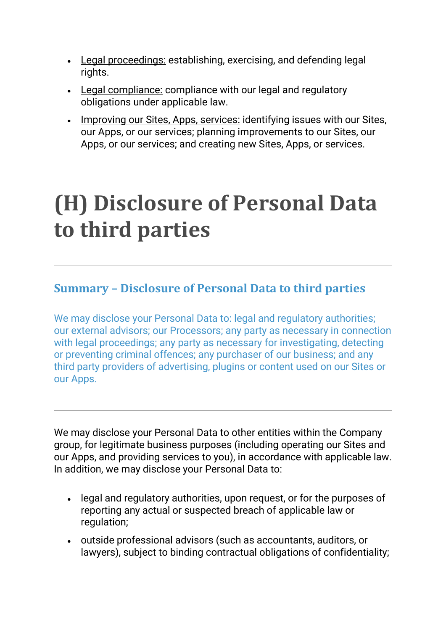- Legal proceedings: establishing, exercising, and defending legal rights.
- Legal compliance: compliance with our legal and regulatory obligations under applicable law.
- Improving our Sites, Apps, services: identifying issues with our Sites, our Apps, or our services; planning improvements to our Sites, our Apps, or our services; and creating new Sites, Apps, or services.

## **(H) Disclosure of Personal Data to third parties**

## **Summary – Disclosure of Personal Data to third parties**

We may disclose your Personal Data to: legal and regulatory authorities; our external advisors; our Processors; any party as necessary in connection with legal proceedings; any party as necessary for investigating, detecting or preventing criminal offences; any purchaser of our business; and any third party providers of advertising, plugins or content used on our Sites or our Apps.

We may disclose your Personal Data to other entities within the Company group, for legitimate business purposes (including operating our Sites and our Apps, and providing services to you), in accordance with applicable law. In addition, we may disclose your Personal Data to:

- legal and regulatory authorities, upon request, or for the purposes of reporting any actual or suspected breach of applicable law or regulation;
- outside professional advisors (such as accountants, auditors, or lawyers), subject to binding contractual obligations of confidentiality;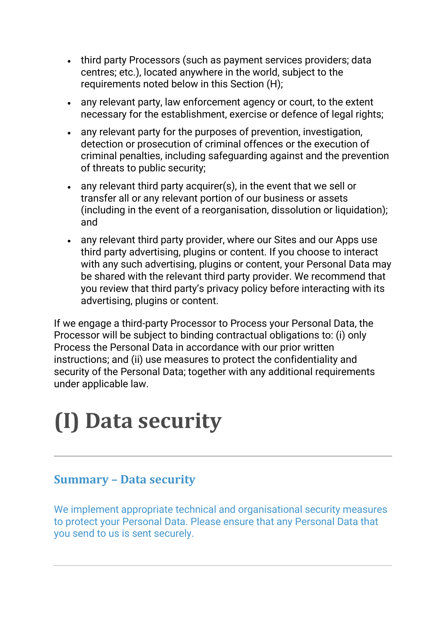- third party Processors (such as payment services providers; data centres; etc.), located anywhere in the world, subject to the requirements noted below in this Section (H);
- any relevant party, law enforcement agency or court, to the extent necessary for the establishment, exercise or defence of legal rights;
- any relevant party for the purposes of prevention, investigation, detection or prosecution of criminal offences or the execution of criminal penalties, including safeguarding against and the prevention of threats to public security;
- any relevant third party acquirer(s), in the event that we sell or transfer all or any relevant portion of our business or assets (including in the event of a reorganisation, dissolution or liquidation); and
- any relevant third party provider, where our Sites and our Apps use third party advertising, plugins or content. If you choose to interact with any such advertising, plugins or content, your Personal Data may be shared with the relevant third party provider. We recommend that you review that third party's privacy policy before interacting with its advertising, plugins or content.

If we engage a third-party Processor to Process your Personal Data, the Processor will be subject to binding contractual obligations to: (i) only Process the Personal Data in accordance with our prior written instructions; and (ii) use measures to protect the confidentiality and security of the Personal Data; together with any additional requirements under applicable law.

# **(I) Data security**

## **Summary – Data security**

We implement appropriate technical and organisational security measures to protect your Personal Data. Please ensure that any Personal Data that you send to us is sent securely.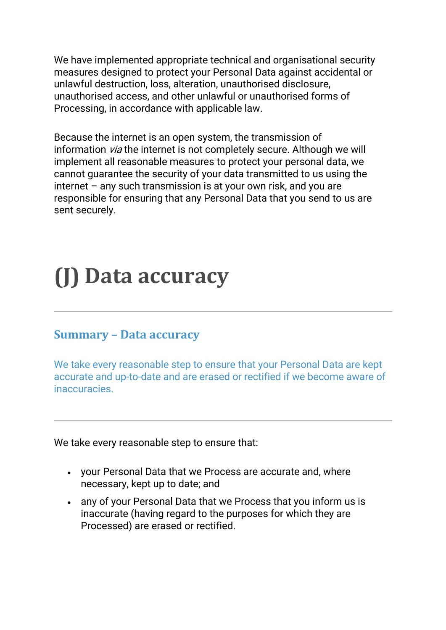We have implemented appropriate technical and organisational security measures designed to protect your Personal Data against accidental or unlawful destruction, loss, alteration, unauthorised disclosure, unauthorised access, and other unlawful or unauthorised forms of Processing, in accordance with applicable law.

Because the internet is an open system, the transmission of information *via* the internet is not completely secure. Although we will implement all reasonable measures to protect your personal data, we cannot guarantee the security of your data transmitted to us using the internet – any such transmission is at your own risk, and you are responsible for ensuring that any Personal Data that you send to us are sent securely.

# **(J) Data accuracy**

### **Summary – Data accuracy**

We take every reasonable step to ensure that your Personal Data are kept accurate and up-to-date and are erased or rectified if we become aware of inaccuracies.

We take every reasonable step to ensure that:

- your Personal Data that we Process are accurate and, where necessary, kept up to date; and
- any of your Personal Data that we Process that you inform us is inaccurate (having regard to the purposes for which they are Processed) are erased or rectified.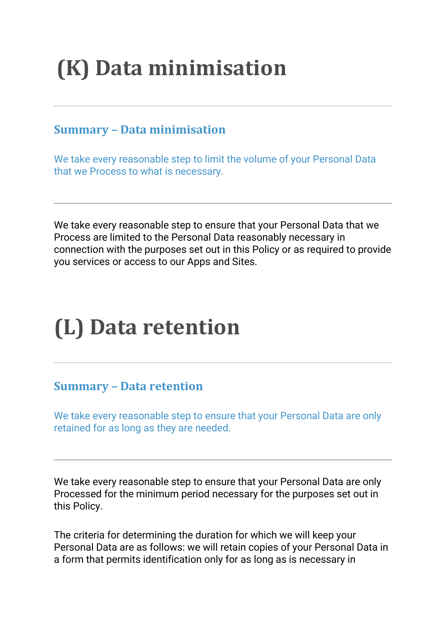# **(K) Data minimisation**

## **Summary – Data minimisation**

We take every reasonable step to limit the volume of your Personal Data that we Process to what is necessary.

We take every reasonable step to ensure that your Personal Data that we Process are limited to the Personal Data reasonably necessary in connection with the purposes set out in this Policy or as required to provide you services or access to our Apps and Sites.

# **(L) Data retention**

### **Summary – Data retention**

We take every reasonable step to ensure that your Personal Data are only retained for as long as they are needed.

We take every reasonable step to ensure that your Personal Data are only Processed for the minimum period necessary for the purposes set out in this Policy.

The criteria for determining the duration for which we will keep your Personal Data are as follows: we will retain copies of your Personal Data in a form that permits identification only for as long as is necessary in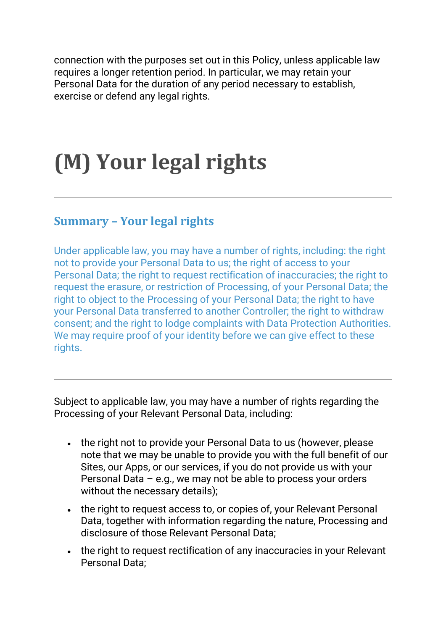connection with the purposes set out in this Policy, unless applicable law requires a longer retention period. In particular, we may retain your Personal Data for the duration of any period necessary to establish, exercise or defend any legal rights.

# **(M) Your legal rights**

### **Summary – Your legal rights**

Under applicable law, you may have a number of rights, including: the right not to provide your Personal Data to us; the right of access to your Personal Data; the right to request rectification of inaccuracies; the right to request the erasure, or restriction of Processing, of your Personal Data; the right to object to the Processing of your Personal Data; the right to have your Personal Data transferred to another Controller; the right to withdraw consent; and the right to lodge complaints with Data Protection Authorities. We may require proof of your identity before we can give effect to these rights.

Subject to applicable law, you may have a number of rights regarding the Processing of your Relevant Personal Data, including:

- the right not to provide your Personal Data to us (however, please note that we may be unable to provide you with the full benefit of our Sites, our Apps, or our services, if you do not provide us with your Personal Data – e.g., we may not be able to process your orders without the necessary details);
- the right to request access to, or copies of, your Relevant Personal Data, together with information regarding the nature, Processing and disclosure of those Relevant Personal Data;
- the right to request rectification of any inaccuracies in your Relevant Personal Data;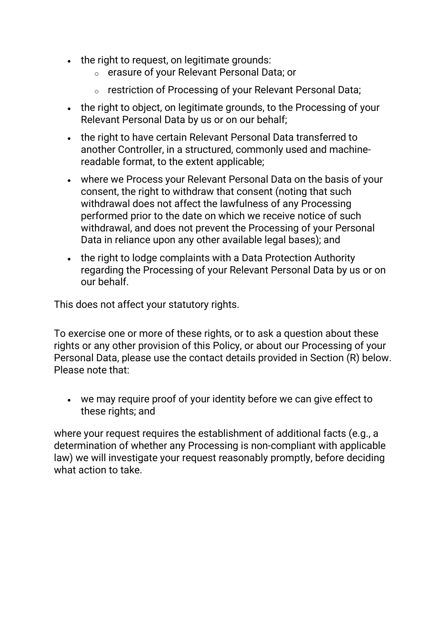- the right to request, on legitimate grounds:
	- o erasure of your Relevant Personal Data; or
	- o restriction of Processing of your Relevant Personal Data;
- the right to object, on legitimate grounds, to the Processing of your Relevant Personal Data by us or on our behalf;
- the right to have certain Relevant Personal Data transferred to another Controller, in a structured, commonly used and machinereadable format, to the extent applicable;
- where we Process your Relevant Personal Data on the basis of your consent, the right to withdraw that consent (noting that such withdrawal does not affect the lawfulness of any Processing performed prior to the date on which we receive notice of such withdrawal, and does not prevent the Processing of your Personal Data in reliance upon any other available legal bases); and
- the right to lodge complaints with a Data Protection Authority regarding the Processing of your Relevant Personal Data by us or on our behalf.

This does not affect your statutory rights.

To exercise one or more of these rights, or to ask a question about these rights or any other provision of this Policy, or about our Processing of your Personal Data, please use the contact details provided in Section (R) below. Please note that:

• we may require proof of your identity before we can give effect to these rights; and

where your request requires the establishment of additional facts (e.g., a determination of whether any Processing is non-compliant with applicable law) we will investigate your request reasonably promptly, before deciding what action to take.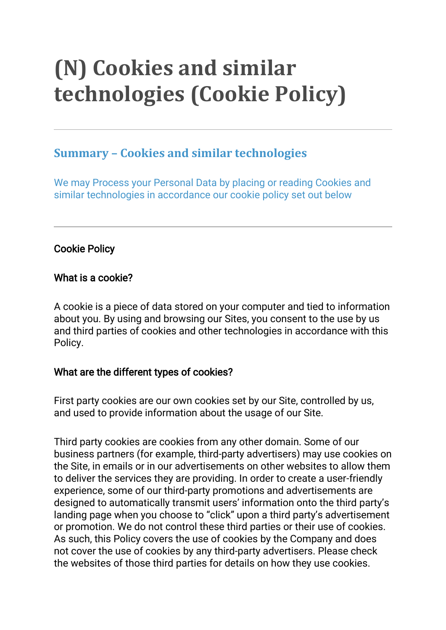# **(N) Cookies and similar technologies (Cookie Policy)**

## **Summary – Cookies and similar technologies**

We may Process your Personal Data by placing or reading Cookies and similar technologies in accordance our cookie policy set out below

### Cookie Policy

#### What is a cookie?

A cookie is a piece of data stored on your computer and tied to information about you. By using and browsing our Sites, you consent to the use by us and third parties of cookies and other technologies in accordance with this Policy.

#### What are the different types of cookies?

First party cookies are our own cookies set by our Site, controlled by us, and used to provide information about the usage of our Site.

Third party cookies are cookies from any other domain. Some of our business partners (for example, third-party advertisers) may use cookies on the Site, in emails or in our advertisements on other websites to allow them to deliver the services they are providing. In order to create a user-friendly experience, some of our third-party promotions and advertisements are designed to automatically transmit users' information onto the third party's landing page when you choose to "click" upon a third party's advertisement or promotion. We do not control these third parties or their use of cookies. As such, this Policy covers the use of cookies by the Company and does not cover the use of cookies by any third-party advertisers. Please check the websites of those third parties for details on how they use cookies.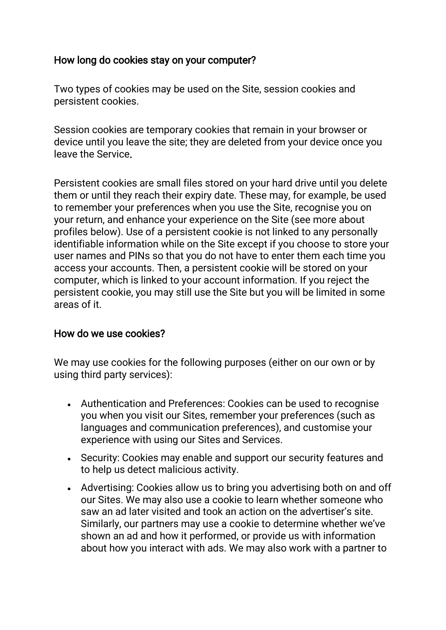#### How long do cookies stay on your computer?

Two types of cookies may be used on the Site, session cookies and persistent cookies.

Session cookies are temporary cookies that remain in your browser or device until you leave the site; they are deleted from your device once you leave the Service.

Persistent cookies are small files stored on your hard drive until you delete them or until they reach their expiry date. These may, for example, be used to remember your preferences when you use the Site, recognise you on your return, and enhance your experience on the Site (see more about profiles below). Use of a persistent cookie is not linked to any personally identifiable information while on the Site except if you choose to store your user names and PINs so that you do not have to enter them each time you access your accounts. Then, a persistent cookie will be stored on your computer, which is linked to your account information. If you reject the persistent cookie, you may still use the Site but you will be limited in some areas of it.

#### How do we use cookies?

We may use cookies for the following purposes (either on our own or by using third party services):

- Authentication and Preferences: Cookies can be used to recognise you when you visit our Sites, remember your preferences (such as languages and communication preferences), and customise your experience with using our Sites and Services.
- Security: Cookies may enable and support our security features and to help us detect malicious activity.
- Advertising: Cookies allow us to bring you advertising both on and off our Sites. We may also use a cookie to learn whether someone who saw an ad later visited and took an action on the advertiser's site. Similarly, our partners may use a cookie to determine whether we've shown an ad and how it performed, or provide us with information about how you interact with ads. We may also work with a partner to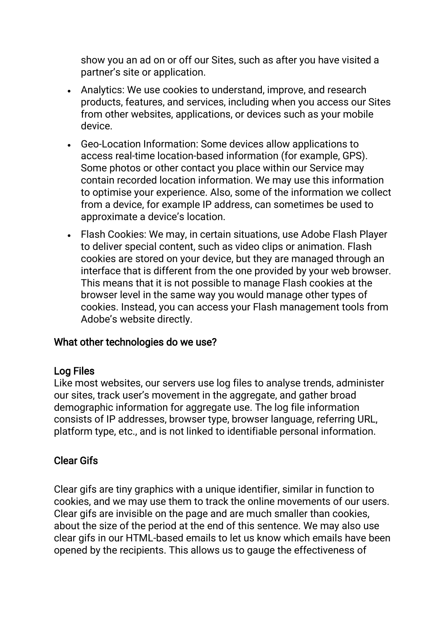show you an ad on or off our Sites, such as after you have visited a partner's site or application.

- Analytics: We use cookies to understand, improve, and research products, features, and services, including when you access our Sites from other websites, applications, or devices such as your mobile device.
- Geo-Location Information: Some devices allow applications to access real-time location-based information (for example, GPS). Some photos or other contact you place within our Service may contain recorded location information. We may use this information to optimise your experience. Also, some of the information we collect from a device, for example IP address, can sometimes be used to approximate a device's location.
- Flash Cookies: We may, in certain situations, use Adobe Flash Player to deliver special content, such as video clips or animation. Flash cookies are stored on your device, but they are managed through an interface that is different from the one provided by your web browser. This means that it is not possible to manage Flash cookies at the browser level in the same way you would manage other types of cookies. Instead, you can access your Flash management tools from Adobe's website directly.

#### What other technologies do we use?

#### Log Files

Like most websites, our servers use log files to analyse trends, administer our sites, track user's movement in the aggregate, and gather broad demographic information for aggregate use. The log file information consists of IP addresses, browser type, browser language, referring URL, platform type, etc., and is not linked to identifiable personal information.

#### Clear Gifs

Clear gifs are tiny graphics with a unique identifier, similar in function to cookies, and we may use them to track the online movements of our users. Clear gifs are invisible on the page and are much smaller than cookies, about the size of the period at the end of this sentence. We may also use clear gifs in our HTML-based emails to let us know which emails have been opened by the recipients. This allows us to gauge the effectiveness of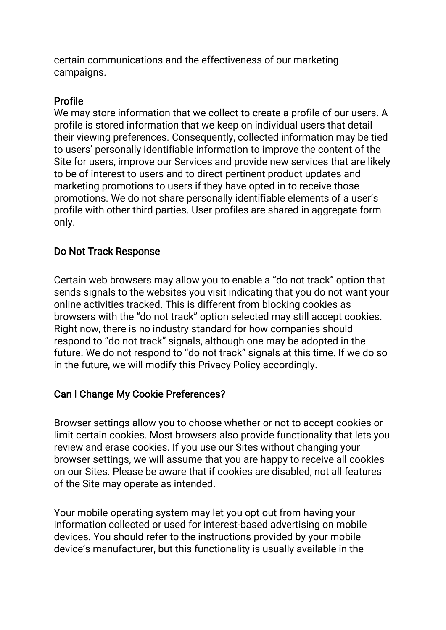certain communications and the effectiveness of our marketing campaigns.

### Profile

We may store information that we collect to create a profile of our users. A profile is stored information that we keep on individual users that detail their viewing preferences. Consequently, collected information may be tied to users' personally identifiable information to improve the content of the Site for users, improve our Services and provide new services that are likely to be of interest to users and to direct pertinent product updates and marketing promotions to users if they have opted in to receive those promotions. We do not share personally identifiable elements of a user's profile with other third parties. User profiles are shared in aggregate form only.

### Do Not Track Response

Certain web browsers may allow you to enable a "do not track" option that sends signals to the websites you visit indicating that you do not want your online activities tracked. This is different from blocking cookies as browsers with the "do not track" option selected may still accept cookies. Right now, there is no industry standard for how companies should respond to "do not track" signals, although one may be adopted in the future. We do not respond to "do not track" signals at this time. If we do so in the future, we will modify this Privacy Policy accordingly.

### Can I Change My Cookie Preferences?

Browser settings allow you to choose whether or not to accept cookies or limit certain cookies. Most browsers also provide functionality that lets you review and erase cookies. If you use our Sites without changing your browser settings, we will assume that you are happy to receive all cookies on our Sites. Please be aware that if cookies are disabled, not all features of the Site may operate as intended.

Your mobile operating system may let you opt out from having your information collected or used for interest-based advertising on mobile devices. You should refer to the instructions provided by your mobile device's manufacturer, but this functionality is usually available in the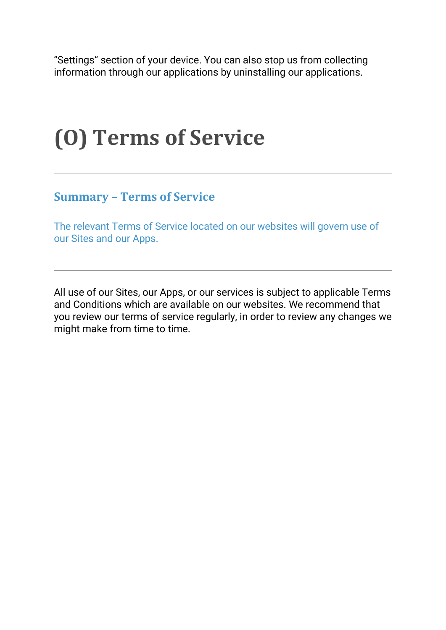"Settings" section of your device. You can also stop us from collecting information through our applications by uninstalling our applications.

# **(O) Terms of Service**

### **Summary – Terms of Service**

The relevant Terms of Service located on our websites will govern use of our Sites and our Apps.

All use of our Sites, our Apps, or our services is subject to applicable Terms and Conditions which are available on our websites. We recommend that you review our terms of service regularly, in order to review any changes we might make from time to time.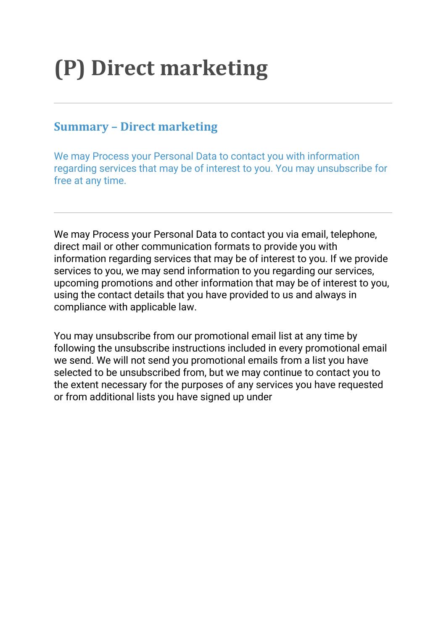# **(P) Direct marketing**

### **Summary – Direct marketing**

We may Process your Personal Data to contact you with information regarding services that may be of interest to you. You may unsubscribe for free at any time.

We may Process your Personal Data to contact you via email, telephone, direct mail or other communication formats to provide you with information regarding services that may be of interest to you. If we provide services to you, we may send information to you regarding our services, upcoming promotions and other information that may be of interest to you, using the contact details that you have provided to us and always in compliance with applicable law.

You may unsubscribe from our promotional email list at any time by following the unsubscribe instructions included in every promotional email we send. We will not send you promotional emails from a list you have selected to be unsubscribed from, but we may continue to contact you to the extent necessary for the purposes of any services you have requested or from additional lists you have signed up under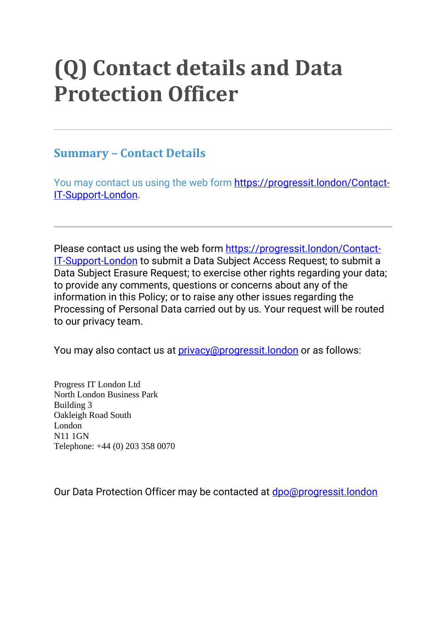## **(Q) Contact details and Data Protection Officer**

## **Summary – Contact Details**

You may contact us using the web form [https://progressit.london/Contact-](https://progressit.london/Contact-IT-Support-London)[IT-Support-London.](https://progressit.london/Contact-IT-Support-London)

Please contact us using the web form [https://progressit.london/Contact-](https://progressit.london/Contact-IT-Support-London)[IT-Support-London](https://progressit.london/Contact-IT-Support-London) to submit a Data Subject Access Request; to submit a Data Subject Erasure Request; to exercise other rights regarding your data; to provide any comments, questions or concerns about any of the information in this Policy; or to raise any other issues regarding the Processing of Personal Data carried out by us. Your request will be routed to our privacy team.

You may also contact us at *[privacy@progressit.london](mailto:privacy@progressit.london)* or as follows:

Progress IT London Ltd North London Business Park Building 3 Oakleigh Road South London N11 1GN Telephone: +44 (0) 203 358 0070

Our Data Protection Officer may be contacted at [dpo@progressit.london](mailto:dpo@progressit.london)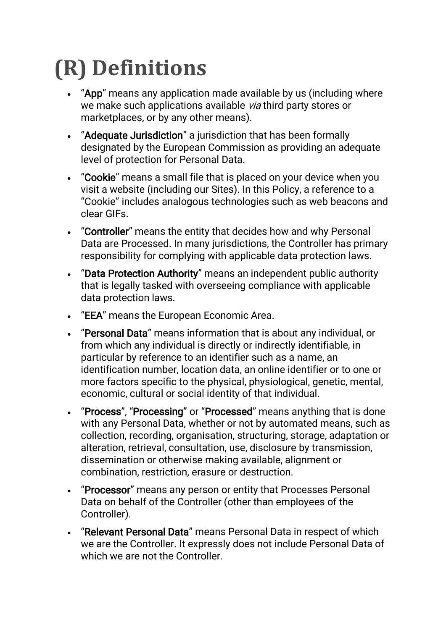# **(R) Definitions**

- "App" means any application made available by us (including where we make such applications available via third party stores or marketplaces, or by any other means).
- "Adequate Jurisdiction" a jurisdiction that has been formally designated by the European Commission as providing an adequate level of protection for Personal Data.
- "Cookie" means a small file that is placed on your device when you visit a website (including our Sites). In this Policy, a reference to a "Cookie" includes analogous technologies such as web beacons and clear GIFs.
- "Controller" means the entity that decides how and why Personal Data are Processed. In many jurisdictions, the Controller has primary responsibility for complying with applicable data protection laws.
- "Data Protection Authority" means an independent public authority that is legally tasked with overseeing compliance with applicable data protection laws.
- "EEA" means the European Economic Area.
- "Personal Data" means information that is about any individual, or from which any individual is directly or indirectly identifiable, in particular by reference to an identifier such as a name, an identification number, location data, an online identifier or to one or more factors specific to the physical, physiological, genetic, mental, economic, cultural or social identity of that individual.
- "Process", "Processing" or "Processed" means anything that is done with any Personal Data, whether or not by automated means, such as collection, recording, organisation, structuring, storage, adaptation or alteration, retrieval, consultation, use, disclosure by transmission, dissemination or otherwise making available, alignment or combination, restriction, erasure or destruction.
- "Processor" means any person or entity that Processes Personal Data on behalf of the Controller (other than employees of the Controller).
- "Relevant Personal Data" means Personal Data in respect of which we are the Controller. It expressly does not include Personal Data of which we are not the Controller.